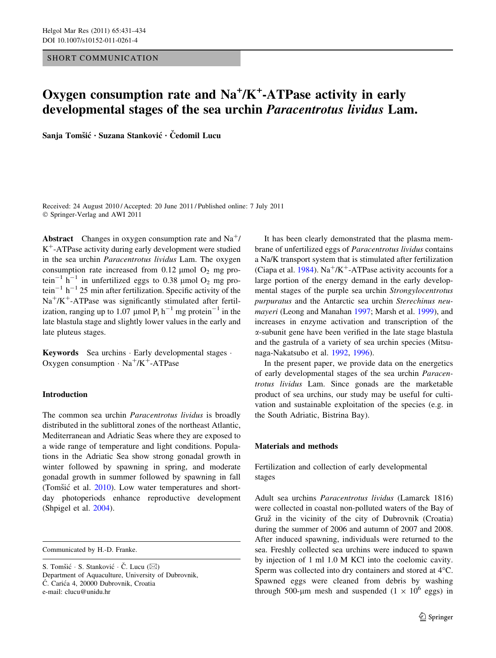#### SHORT COMMUNICATION

# Oxygen consumption rate and Na<sup>+</sup>/K<sup>+</sup>-ATPase activity in early developmental stages of the sea urchin Paracentrotus lividus Lam.

Sanja Tomšić • Suzana Stanković • Čedomil Lucu

Received: 24 August 2010 / Accepted: 20 June 2011 / Published online: 7 July 2011 © Springer-Verlag and AWI 2011

**Abstract** Changes in oxygen consumption rate and  $Na^{+}$ /  $K^+$ -ATPase activity during early development were studied in the sea urchin Paracentrotus lividus Lam. The oxygen consumption rate increased from  $0.12 \mu$ mol O<sub>2</sub> mg protein<sup>-1</sup> h<sup>-1</sup> in unfertilized eggs to 0.38 µmol  $O_2$  mg protein<sup>-1</sup> h<sup>-1</sup> 25 min after fertilization. Specific activity of the  $Na^{+}/K^{+}$ -ATPase was significantly stimulated after fertilization, ranging up to 1.07 µmol  $P_i$  h<sup>-1</sup> mg protein<sup>-1</sup> in the late blastula stage and slightly lower values in the early and late pluteus stages.

Keywords Sea urchins · Early developmental stages · Oxygen consumption  $\cdot$  Na<sup>+</sup>/K<sup>+</sup>-ATPase

## Introduction

The common sea urchin Paracentrotus lividus is broadly distributed in the sublittoral zones of the northeast Atlantic, Mediterranean and Adriatic Seas where they are exposed to a wide range of temperature and light conditions. Populations in the Adriatic Sea show strong gonadal growth in winter followed by spawning in spring, and moderate gonadal growth in summer followed by spawning in fall (Tomšić et al.  $2010$ ). Low water temperatures and shortday photoperiods enhance reproductive development (Shpigel et al. [2004\)](#page-3-0).

Communicated by H.-D. Franke.

It has been clearly demonstrated that the plasma membrane of unfertilized eggs of Paracentrotus lividus contains a Na/K transport system that is stimulated after fertilization (Ciapa et al. [1984](#page-3-0)).  $Na^{+}/K^{+}$ -ATPase activity accounts for a large portion of the energy demand in the early developmental stages of the purple sea urchin Strongylocentrotus purpuratus and the Antarctic sea urchin Sterechinus neumayeri (Leong and Manahan [1997](#page-3-0); Marsh et al. [1999](#page-3-0)), and increases in enzyme activation and transcription of the a-subunit gene have been verified in the late stage blastula and the gastrula of a variety of sea urchin species (Mitsunaga-Nakatsubo et al. [1992](#page-3-0), [1996\)](#page-3-0).

In the present paper, we provide data on the energetics of early developmental stages of the sea urchin Paracentrotus lividus Lam. Since gonads are the marketable product of sea urchins, our study may be useful for cultivation and sustainable exploitation of the species (e.g. in the South Adriatic, Bistrina Bay).

## Materials and methods

Fertilization and collection of early developmental stages

Adult sea urchins Paracentrotus lividus (Lamarck 1816) were collected in coastal non-polluted waters of the Bay of Gruž in the vicinity of the city of Dubrovnik (Croatia) during the summer of 2006 and autumn of 2007 and 2008. After induced spawning, individuals were returned to the sea. Freshly collected sea urchins were induced to spawn by injection of 1 ml 1.0 M KCl into the coelomic cavity. Sperm was collected into dry containers and stored at 4<sup>o</sup>C. Spawned eggs were cleaned from debris by washing through 500-µm mesh and suspended (1  $\times$  10<sup>6</sup> eggs) in

S. Tomšić · S. Stanković · Č. Lucu ( $\boxtimes$ ) Department of Aquaculture, University of Dubrovnik, Ć. Carića 4, 20000 Dubrovnik, Croatia e-mail: clucu@unidu.hr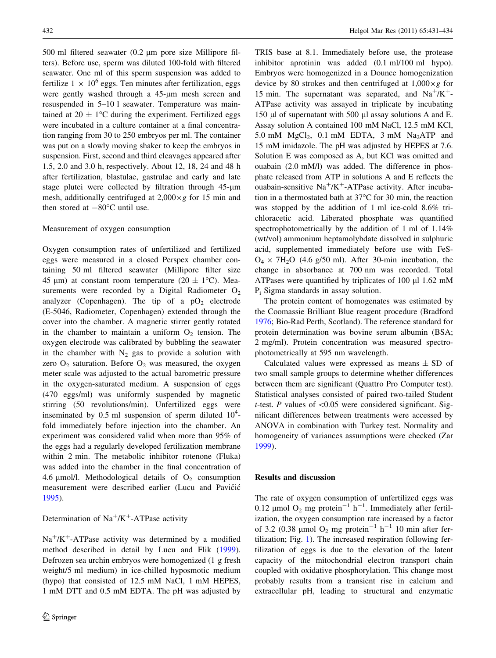500 ml filtered seawater (0.2 um pore size Millipore filters). Before use, sperm was diluted 100-fold with filtered seawater. One ml of this sperm suspension was added to fertilize  $1 \times 10^6$  eggs. Ten minutes after fertilization, eggs were gently washed through a 45-um mesh screen and resuspended in 5–10 l seawater. Temperature was maintained at  $20 \pm 1$ °C during the experiment. Fertilized eggs were incubated in a culture container at a final concentration ranging from 30 to 250 embryos per ml. The container was put on a slowly moving shaker to keep the embryos in suspension. First, second and third cleavages appeared after 1.5, 2.0 and 3.0 h, respectively. About 12, 18, 24 and 48 h after fertilization, blastulae, gastrulae and early and late stage plutei were collected by filtration through 45-µm mesh, additionally centrifuged at  $2,000 \times g$  for 15 min and then stored at  $-80^{\circ}$ C until use.

#### Measurement of oxygen consumption

Oxygen consumption rates of unfertilized and fertilized eggs were measured in a closed Perspex chamber containing 50 ml filtered seawater (Millipore filter size 45 µm) at constant room temperature (20  $\pm$  1<sup>o</sup>C). Measurements were recorded by a Digital Radiometer  $O_2$ analyzer (Copenhagen). The tip of a  $pO<sub>2</sub>$  electrode (E-5046, Radiometer, Copenhagen) extended through the cover into the chamber. A magnetic stirrer gently rotated in the chamber to maintain a uniform  $O_2$  tension. The oxygen electrode was calibrated by bubbling the seawater in the chamber with  $N_2$  gas to provide a solution with zero  $O_2$  saturation. Before  $O_2$  was measured, the oxygen meter scale was adjusted to the actual barometric pressure in the oxygen-saturated medium. A suspension of eggs (470 eggs/ml) was uniformly suspended by magnetic stirring (50 revolutions/min). Unfertilized eggs were inseminated by 0.5 ml suspension of sperm diluted  $10^4$ fold immediately before injection into the chamber. An experiment was considered valid when more than 95% of the eggs had a regularly developed fertilization membrane within 2 min. The metabolic inhibitor rotenone (Fluka) was added into the chamber in the final concentration of 4.6  $\mu$ mol/l. Methodological details of O<sub>2</sub> consumption measurement were described earlier (Lucu and Pavičić [1995\)](#page-3-0).

Determination of  $Na^+/K^+$ -ATPase activity

 $Na^{+}/K^{+}$ -ATPase activity was determined by a modified method described in detail by Lucu and Flik [\(1999](#page-3-0)). Defrozen sea urchin embryos were homogenized (1 g fresh weight/5 ml medium) in ice-chilled hyposmotic medium (hypo) that consisted of 12.5 mM NaCl, 1 mM HEPES, 1 mM DTT and 0.5 mM EDTA. The pH was adjusted by

TRIS base at 8.1. Immediately before use, the protease inhibitor aprotinin was added (0.1 ml/100 ml hypo). Embryos were homogenized in a Dounce homogenization device by 80 strokes and then centrifuged at  $1,000 \times g$  for 15 min. The supernatant was separated, and  $Na^{+}/K^{+}$ -ATPase activity was assayed in triplicate by incubating 150  $\mu$ l of supernatant with 500  $\mu$ l assay solutions A and E. Assay solution A contained 100 mM NaCl, 12.5 mM KCl, 5.0 mM  $MgCl<sub>2</sub>$ , 0.1 mM EDTA, 3 mM  $Na<sub>2</sub>ATP$  and 15 mM imidazole. The pH was adjusted by HEPES at 7.6. Solution E was composed as A, but KCl was omitted and ouabain (2.0 mM/l) was added. The difference in phosphate released from ATP in solutions A and E reflects the ouabain-sensitive  $Na^{+}/K^{+}$ -ATPase activity. After incubation in a thermostated bath at  $37^{\circ}$ C for 30 min, the reaction was stopped by the addition of 1 ml ice-cold 8.6% trichloracetic acid. Liberated phosphate was quantified spectrophotometrically by the addition of 1 ml of 1.14% (wt/vol) ammonium heptamolybdate dissolved in sulphuric acid, supplemented immediately before use with FeS- $O_4 \times 7H_2O$  (4.6 g/50 ml). After 30-min incubation, the change in absorbance at 700 nm was recorded. Total ATPases were quantified by triplicates of  $100 \mu$  1.62 mM Pi Sigma standards in assay solution.

The protein content of homogenates was estimated by the Coomassie Brilliant Blue reagent procedure (Bradford [1976](#page-3-0); Bio-Rad Perth, Scotland). The reference standard for protein determination was bovine serum albumin (BSA; 2 mg/ml). Protein concentration was measured spectrophotometrically at 595 nm wavelength.

Calculated values were expressed as means  $\pm$  SD of two small sample groups to determine whether differences between them are significant (Quattro Pro Computer test). Statistical analyses consisted of paired two-tailed Student t-test. P values of  $\leq 0.05$  were considered significant. Significant differences between treatments were accessed by ANOVA in combination with Turkey test. Normality and homogeneity of variances assumptions were checked (Zar [1999](#page-3-0)).

### Results and discussion

The rate of oxygen consumption of unfertilized eggs was 0.12 µmol  $O_2$  mg protein<sup>-1</sup> h<sup>-1</sup>. Immediately after fertilization, the oxygen consumption rate increased by a factor of 3.2 (0.38 µmol  $O_2$  mg protein<sup>-1</sup> h<sup>-1</sup> 10 min after fertilization; Fig. [1](#page-2-0)). The increased respiration following fertilization of eggs is due to the elevation of the latent capacity of the mitochondrial electron transport chain coupled with oxidative phosphorylation. This change most probably results from a transient rise in calcium and extracellular pH, leading to structural and enzymatic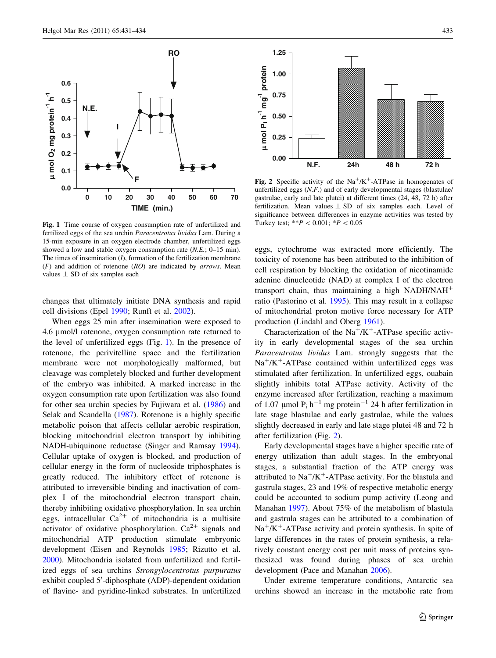<span id="page-2-0"></span>

Fig. 1 Time course of oxygen consumption rate of unfertilized and fertilized eggs of the sea urchin Paracentrotus lividus Lam. During a 15-min exposure in an oxygen electrode chamber, unfertilized eggs showed a low and stable oxygen consumption rate (N.E.; 0–15 min). The times of insemination  $(I)$ , formation of the fertilization membrane  $(F)$  and addition of rotenone  $(RO)$  are indicated by *arrows*. Mean values  $\pm$  SD of six samples each

changes that ultimately initiate DNA synthesis and rapid cell divisions (Epel [1990](#page-3-0); Runft et al. [2002](#page-3-0)).

When eggs 25 min after insemination were exposed to 4.6 µmol/l rotenone, oxygen consumption rate returned to the level of unfertilized eggs (Fig. 1). In the presence of rotenone, the perivitelline space and the fertilization membrane were not morphologically malformed, but cleavage was completely blocked and further development of the embryo was inhibited. A marked increase in the oxygen consumption rate upon fertilization was also found for other sea urchin species by Fujiwara et al. ([1986\)](#page-3-0) and Selak and Scandella [\(1987](#page-3-0)). Rotenone is a highly specific metabolic poison that affects cellular aerobic respiration, blocking mitochondrial electron transport by inhibiting NADH-ubiquinone reductase (Singer and Ramsay [1994](#page-3-0)). Cellular uptake of oxygen is blocked, and production of cellular energy in the form of nucleoside triphosphates is greatly reduced. The inhibitory effect of rotenone is attributed to irreversible binding and inactivation of complex I of the mitochondrial electron transport chain, thereby inhibiting oxidative phosphorylation. In sea urchin eggs, intracellular  $Ca^{2+}$  of mitochondria is a multisite activator of oxidative phosphorylation.  $Ca^{2+}$  signals and mitochondrial ATP production stimulate embryonic development (Eisen and Reynolds [1985;](#page-3-0) Rizutto et al. [2000\)](#page-3-0). Mitochondria isolated from unfertilized and fertilized eggs of sea urchins Strongylocentrotus purpuratus exhibit coupled 5'-diphosphate (ADP)-dependent oxidation of flavine- and pyridine-linked substrates. In unfertilized



Fig. 2 Specific activity of the  $Na^+/K^+$ -ATPase in homogenates of unfertilized eggs (N.F.) and of early developmental stages (blastulae/ gastrulae, early and late plutei) at different times (24, 48, 72 h) after fertilization. Mean values  $\pm$  SD of six samples each. Level of significance between differences in enzyme activities was tested by Turkey test; \*\* $P < 0.001$ ; \* $P < 0.05$ 

eggs, cytochrome was extracted more efficiently. The toxicity of rotenone has been attributed to the inhibition of cell respiration by blocking the oxidation of nicotinamide adenine dinucleotide (NAD) at complex I of the electron transport chain, thus maintaining a high NADH/NAH? ratio (Pastorino et al. [1995\)](#page-3-0). This may result in a collapse of mitochondrial proton motive force necessary for ATP production (Lindahl and Oberg [1961\)](#page-3-0).

Characterization of the  $Na^+/K^+$ -ATPase specific activity in early developmental stages of the sea urchin Paracentrotus lividus Lam. strongly suggests that the  $Na^{+}/K^{+}$ -ATPase contained within unfertilized eggs was stimulated after fertilization. In unfertilized eggs, ouabain slightly inhibits total ATPase activity. Activity of the enzyme increased after fertilization, reaching a maximum of 1.07  $\mu$ mol P<sub>i</sub> h<sup>-1</sup> mg protein<sup>-1</sup> 24 h after fertilization in late stage blastulae and early gastrulae, while the values slightly decreased in early and late stage plutei 48 and 72 h after fertilization (Fig. 2).

Early developmental stages have a higher specific rate of energy utilization than adult stages. In the embryonal stages, a substantial fraction of the ATP energy was attributed to  $\text{Na}^+/\text{K}^+$ -ATPase activity. For the blastula and gastrula stages, 23 and 19% of respective metabolic energy could be accounted to sodium pump activity (Leong and Manahan [1997](#page-3-0)). About 75% of the metabolism of blastula and gastrula stages can be attributed to a combination of  $Na<sup>+</sup>/K<sup>+</sup>$ -ATPase activity and protein synthesis. In spite of large differences in the rates of protein synthesis, a relatively constant energy cost per unit mass of proteins synthesized was found during phases of sea urchin development (Pace and Manahan [2006](#page-3-0)).

Under extreme temperature conditions, Antarctic sea urchins showed an increase in the metabolic rate from